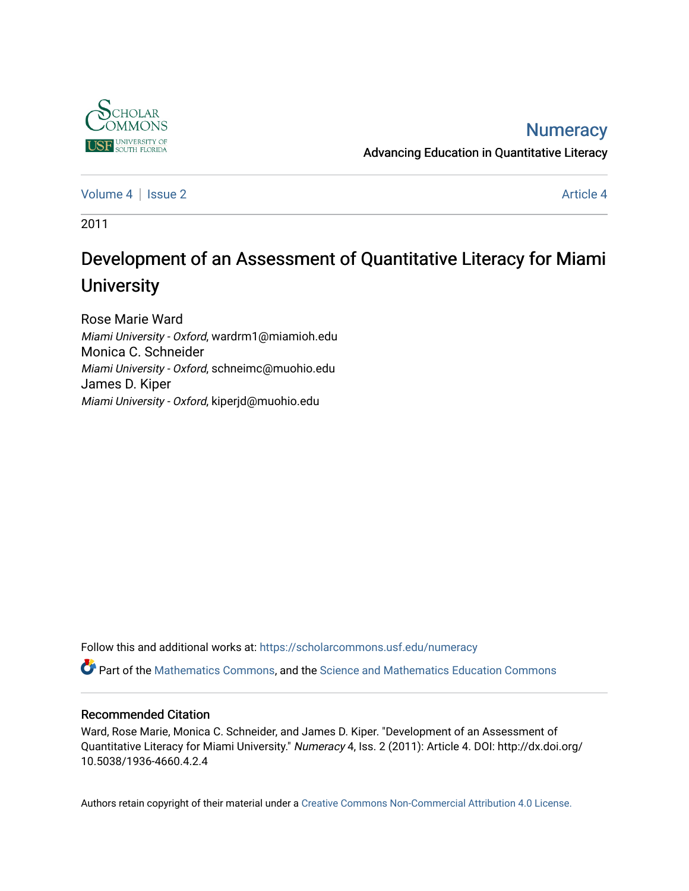

## **Numeracy**

Advancing Education in Quantitative Literacy

[Volume 4](https://scholarcommons.usf.edu/numeracy/vol4) | [Issue 2](https://scholarcommons.usf.edu/numeracy/vol4/iss2) Article 4

2011

# Development of an Assessment of Quantitative Literacy for Miami **University**

Rose Marie Ward Miami University - Oxford, wardrm1@miamioh.edu Monica C. Schneider Miami University - Oxford, schneimc@muohio.edu James D. Kiper Miami University - Oxford, kiperjd@muohio.edu

Follow this and additional works at: [https://scholarcommons.usf.edu/numeracy](https://scholarcommons.usf.edu/numeracy?utm_source=scholarcommons.usf.edu%2Fnumeracy%2Fvol4%2Fiss2%2Fart4&utm_medium=PDF&utm_campaign=PDFCoverPages) 

Part of the [Mathematics Commons](http://network.bepress.com/hgg/discipline/174?utm_source=scholarcommons.usf.edu%2Fnumeracy%2Fvol4%2Fiss2%2Fart4&utm_medium=PDF&utm_campaign=PDFCoverPages), and the [Science and Mathematics Education Commons](http://network.bepress.com/hgg/discipline/800?utm_source=scholarcommons.usf.edu%2Fnumeracy%2Fvol4%2Fiss2%2Fart4&utm_medium=PDF&utm_campaign=PDFCoverPages) 

#### Recommended Citation

Ward, Rose Marie, Monica C. Schneider, and James D. Kiper. "Development of an Assessment of Quantitative Literacy for Miami University." Numeracy 4, Iss. 2 (2011): Article 4. DOI: http://dx.doi.org/ 10.5038/1936-4660.4.2.4

Authors retain copyright of their material under a [Creative Commons Non-Commercial Attribution 4.0 License.](http://creativecommons.org/licenses/by-nc/4.0/)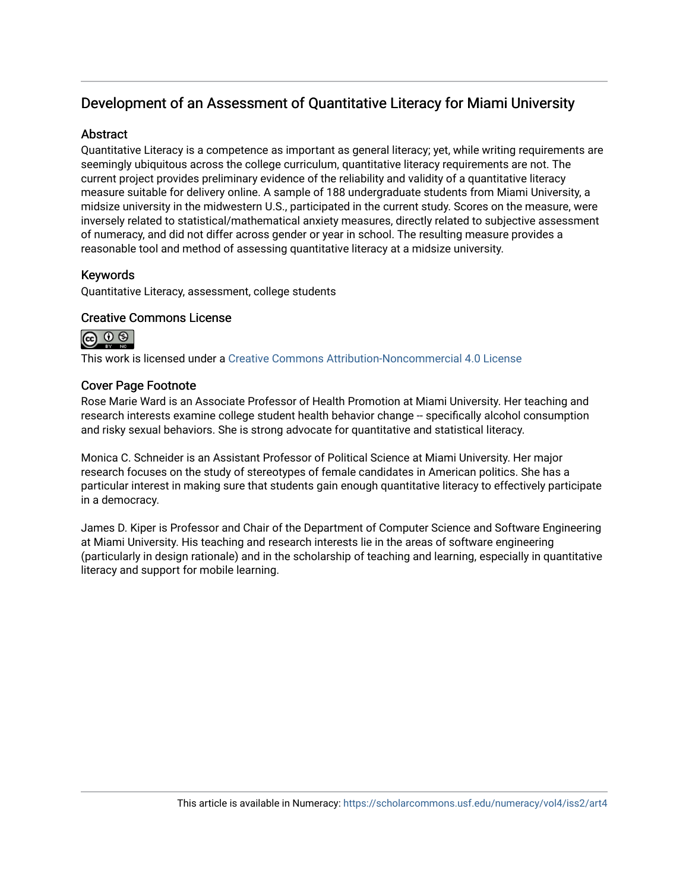## Development of an Assessment of Quantitative Literacy for Miami University

#### **Abstract**

Quantitative Literacy is a competence as important as general literacy; yet, while writing requirements are seemingly ubiquitous across the college curriculum, quantitative literacy requirements are not. The current project provides preliminary evidence of the reliability and validity of a quantitative literacy measure suitable for delivery online. A sample of 188 undergraduate students from Miami University, a midsize university in the midwestern U.S., participated in the current study. Scores on the measure, were inversely related to statistical/mathematical anxiety measures, directly related to subjective assessment of numeracy, and did not differ across gender or year in school. The resulting measure provides a reasonable tool and method of assessing quantitative literacy at a midsize university.

#### Keywords

Quantitative Literacy, assessment, college students

#### Creative Commons License



This work is licensed under a [Creative Commons Attribution-Noncommercial 4.0 License](https://creativecommons.org/licenses/by-nc/4.0/legalcode) 

#### Cover Page Footnote

Rose Marie Ward is an Associate Professor of Health Promotion at Miami University. Her teaching and research interests examine college student health behavior change -- specifically alcohol consumption and risky sexual behaviors. She is strong advocate for quantitative and statistical literacy.

Monica C. Schneider is an Assistant Professor of Political Science at Miami University. Her major research focuses on the study of stereotypes of female candidates in American politics. She has a particular interest in making sure that students gain enough quantitative literacy to effectively participate in a democracy.

James D. Kiper is Professor and Chair of the Department of Computer Science and Software Engineering at Miami University. His teaching and research interests lie in the areas of software engineering (particularly in design rationale) and in the scholarship of teaching and learning, especially in quantitative literacy and support for mobile learning.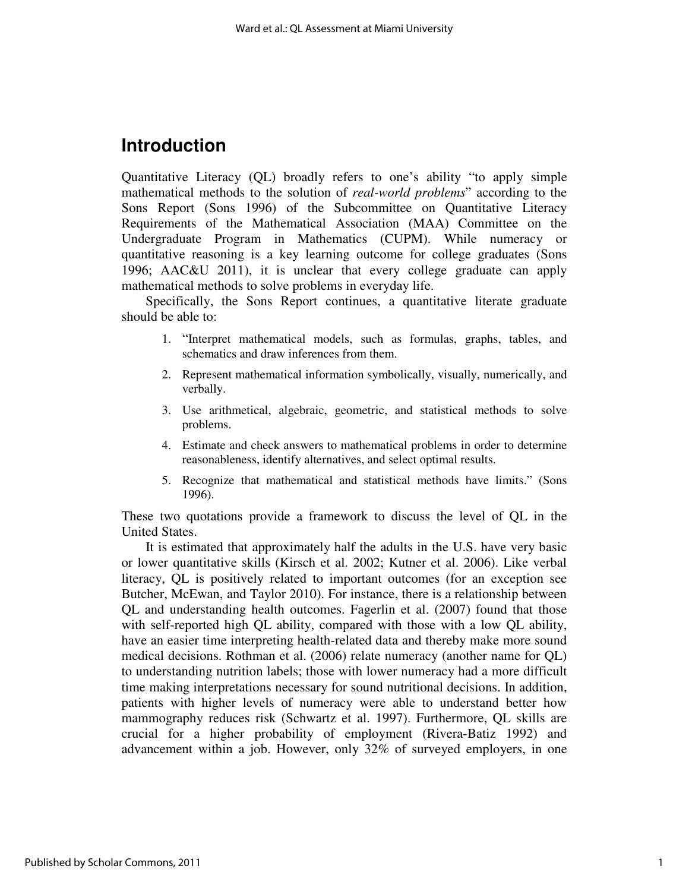## **Introduction**

Quantitative Literacy (QL) broadly refers to one's ability "to apply simple mathematical methods to the solution of *real-world problems*" according to the Sons Report (Sons 1996) of the Subcommittee on Quantitative Literacy Requirements of the Mathematical Association (MAA) Committee on the Undergraduate Program in Mathematics (CUPM). While numeracy or quantitative reasoning is a key learning outcome for college graduates (Sons 1996; AAC&U 2011), it is unclear that every college graduate can apply mathematical methods to solve problems in everyday life.

Specifically, the Sons Report continues, a quantitative literate graduate should be able to:

- 1. "Interpret mathematical models, such as formulas, graphs, tables, and schematics and draw inferences from them.
- 2. Represent mathematical information symbolically, visually, numerically, and verbally.
- 3. Use arithmetical, algebraic, geometric, and statistical methods to solve problems.
- 4. Estimate and check answers to mathematical problems in order to determine reasonableness, identify alternatives, and select optimal results.
- 5. Recognize that mathematical and statistical methods have limits." (Sons 1996).

These two quotations provide a framework to discuss the level of QL in the United States.

It is estimated that approximately half the adults in the U.S. have very basic or lower quantitative skills (Kirsch et al. 2002; Kutner et al. 2006). Like verbal literacy, QL is positively related to important outcomes (for an exception see Butcher, McEwan, and Taylor 2010). For instance, there is a relationship between QL and understanding health outcomes. Fagerlin et al. (2007) found that those with self-reported high QL ability, compared with those with a low QL ability, have an easier time interpreting health-related data and thereby make more sound medical decisions. Rothman et al. (2006) relate numeracy (another name for QL) to understanding nutrition labels; those with lower numeracy had a more difficult time making interpretations necessary for sound nutritional decisions. In addition, patients with higher levels of numeracy were able to understand better how mammography reduces risk (Schwartz et al. 1997). Furthermore, QL skills are crucial for a higher probability of employment (Rivera-Batiz 1992) and advancement within a job. However, only 32% of surveyed employers, in one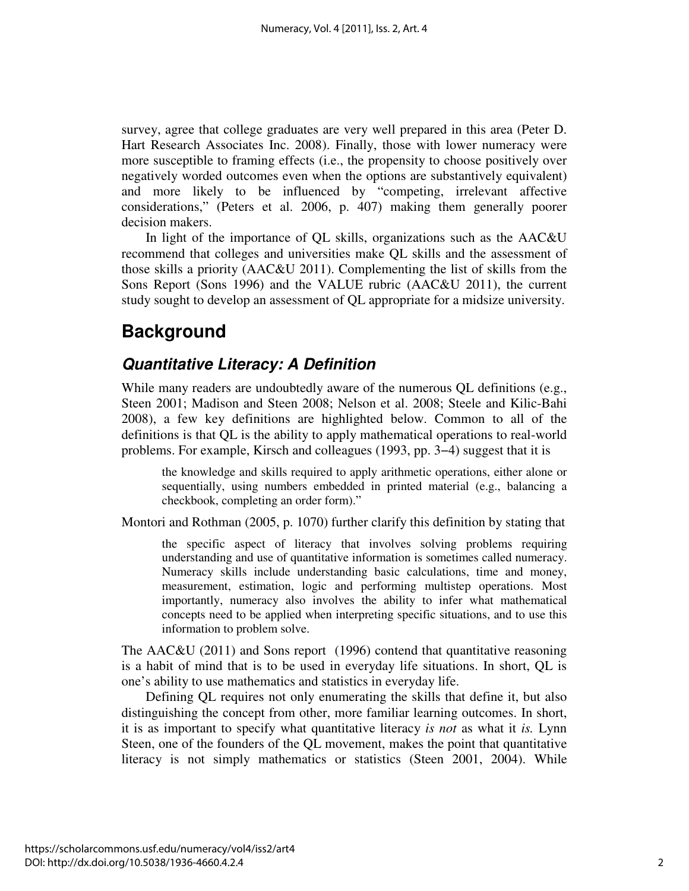survey, agree that college graduates are very well prepared in this area (Peter D. Hart Research Associates Inc. 2008). Finally, those with lower numeracy were more susceptible to framing effects (i.e., the propensity to choose positively over negatively worded outcomes even when the options are substantively equivalent) and more likely to be influenced by "competing, irrelevant affective considerations," (Peters et al. 2006, p. 407) making them generally poorer decision makers.

In light of the importance of QL skills, organizations such as the AAC&U recommend that colleges and universities make QL skills and the assessment of those skills a priority (AAC&U 2011). Complementing the list of skills from the Sons Report (Sons 1996) and the VALUE rubric (AAC&U 2011), the current study sought to develop an assessment of QL appropriate for a midsize university.

## **Background**

### **Quantitative Literacy: A Definition**

While many readers are undoubtedly aware of the numerous QL definitions (e.g., Steen 2001; Madison and Steen 2008; Nelson et al. 2008; Steele and Kilic-Bahi 2008), a few key definitions are highlighted below. Common to all of the definitions is that QL is the ability to apply mathematical operations to real-world problems. For example, Kirsch and colleagues (1993, pp. 3−4) suggest that it is

the knowledge and skills required to apply arithmetic operations, either alone or sequentially, using numbers embedded in printed material (e.g., balancing a checkbook, completing an order form)."

Montori and Rothman (2005, p. 1070) further clarify this definition by stating that

the specific aspect of literacy that involves solving problems requiring understanding and use of quantitative information is sometimes called numeracy. Numeracy skills include understanding basic calculations, time and money, measurement, estimation, logic and performing multistep operations. Most importantly, numeracy also involves the ability to infer what mathematical concepts need to be applied when interpreting specific situations, and to use this information to problem solve.

The AAC&U (2011) and Sons report (1996) contend that quantitative reasoning is a habit of mind that is to be used in everyday life situations. In short, QL is one's ability to use mathematics and statistics in everyday life.

Defining QL requires not only enumerating the skills that define it, but also distinguishing the concept from other, more familiar learning outcomes. In short, it is as important to specify what quantitative literacy *is not* as what it *is.* Lynn Steen, one of the founders of the QL movement, makes the point that quantitative literacy is not simply mathematics or statistics (Steen 2001, 2004). While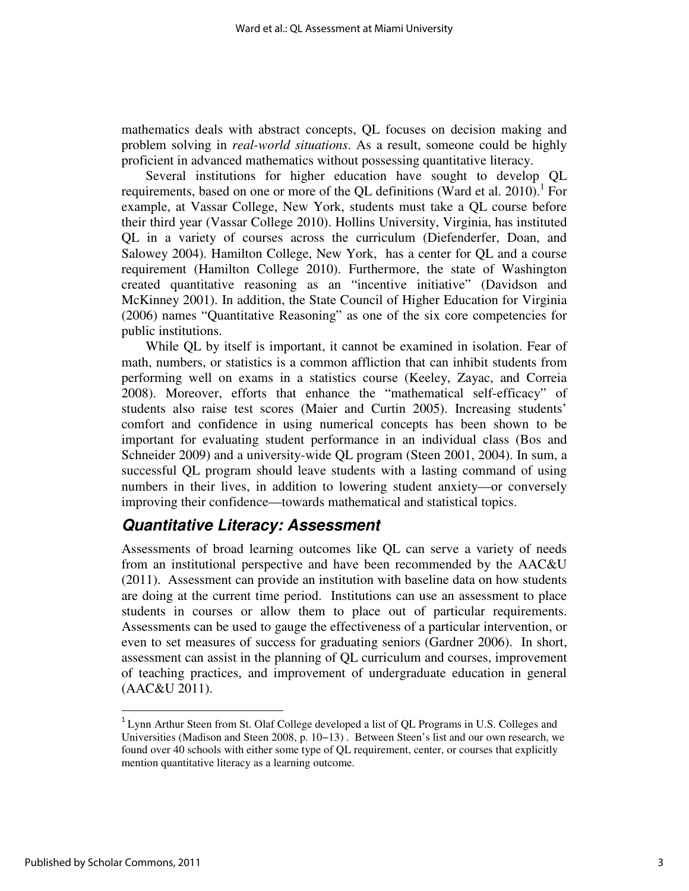mathematics deals with abstract concepts, QL focuses on decision making and problem solving in *real-world situations*. As a result, someone could be highly proficient in advanced mathematics without possessing quantitative literacy.

Several institutions for higher education have sought to develop QL requirements, based on one or more of the QL definitions (Ward et al. 2010).<sup>1</sup> For example, at Vassar College, New York, students must take a QL course before their third year (Vassar College 2010). Hollins University, Virginia, has instituted QL in a variety of courses across the curriculum (Diefenderfer, Doan, and Salowey 2004). Hamilton College, New York, has a center for QL and a course requirement (Hamilton College 2010). Furthermore, the state of Washington created quantitative reasoning as an "incentive initiative" (Davidson and McKinney 2001). In addition, the State Council of Higher Education for Virginia (2006) names "Quantitative Reasoning" as one of the six core competencies for public institutions.

While QL by itself is important, it cannot be examined in isolation. Fear of math, numbers, or statistics is a common affliction that can inhibit students from performing well on exams in a statistics course (Keeley, Zayac, and Correia 2008). Moreover, efforts that enhance the "mathematical self-efficacy" of students also raise test scores (Maier and Curtin 2005). Increasing students' comfort and confidence in using numerical concepts has been shown to be important for evaluating student performance in an individual class (Bos and Schneider 2009) and a university-wide QL program (Steen 2001, 2004). In sum, a successful QL program should leave students with a lasting command of using numbers in their lives, in addition to lowering student anxiety—or conversely improving their confidence—towards mathematical and statistical topics.

## **Quantitative Literacy: Assessment**

Assessments of broad learning outcomes like QL can serve a variety of needs from an institutional perspective and have been recommended by the AAC&U (2011). Assessment can provide an institution with baseline data on how students are doing at the current time period. Institutions can use an assessment to place students in courses or allow them to place out of particular requirements. Assessments can be used to gauge the effectiveness of a particular intervention, or even to set measures of success for graduating seniors (Gardner 2006). In short, assessment can assist in the planning of QL curriculum and courses, improvement of teaching practices, and improvement of undergraduate education in general (AAC&U 2011).

l

<sup>&</sup>lt;sup>1</sup> Lynn Arthur Steen from St. Olaf College developed a list of QL Programs in U.S. Colleges and Universities (Madison and Steen 2008, p. 10−13) . Between Steen's list and our own research, we found over 40 schools with either some type of QL requirement, center, or courses that explicitly mention quantitative literacy as a learning outcome.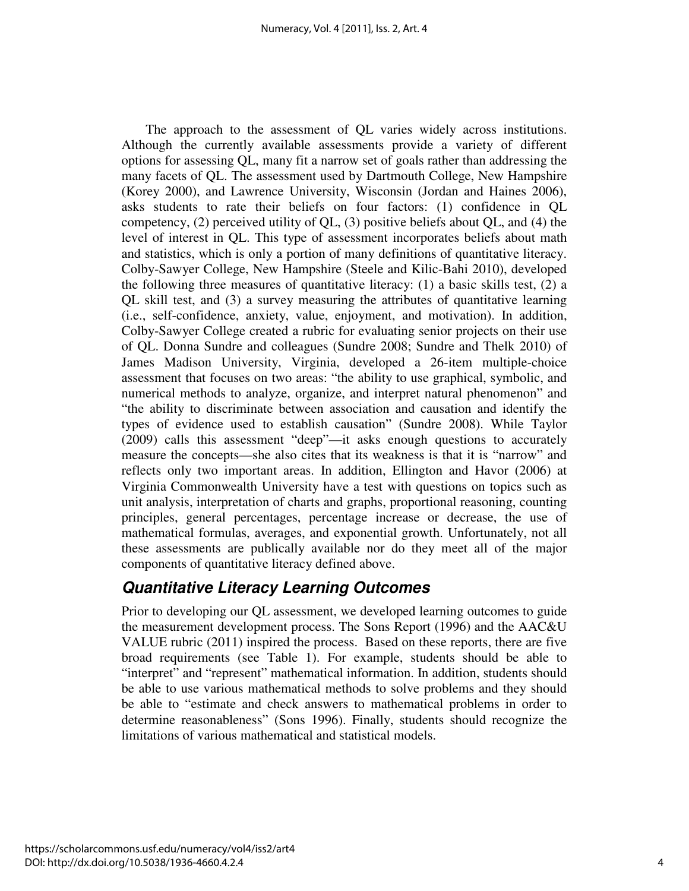The approach to the assessment of QL varies widely across institutions. Although the currently available assessments provide a variety of different options for assessing QL, many fit a narrow set of goals rather than addressing the many facets of QL. The assessment used by Dartmouth College, New Hampshire (Korey 2000), and Lawrence University, Wisconsin (Jordan and Haines 2006), asks students to rate their beliefs on four factors: (1) confidence in QL competency, (2) perceived utility of QL, (3) positive beliefs about QL, and (4) the level of interest in QL. This type of assessment incorporates beliefs about math and statistics, which is only a portion of many definitions of quantitative literacy. Colby-Sawyer College, New Hampshire (Steele and Kilic-Bahi 2010), developed the following three measures of quantitative literacy: (1) a basic skills test, (2) a QL skill test, and (3) a survey measuring the attributes of quantitative learning (i.e., self-confidence, anxiety, value, enjoyment, and motivation). In addition, Colby-Sawyer College created a rubric for evaluating senior projects on their use of QL. Donna Sundre and colleagues (Sundre 2008; Sundre and Thelk 2010) of James Madison University, Virginia, developed a 26-item multiple-choice assessment that focuses on two areas: "the ability to use graphical, symbolic, and numerical methods to analyze, organize, and interpret natural phenomenon" and "the ability to discriminate between association and causation and identify the types of evidence used to establish causation" (Sundre 2008). While Taylor (2009) calls this assessment "deep"—it asks enough questions to accurately measure the concepts—she also cites that its weakness is that it is "narrow" and reflects only two important areas. In addition, Ellington and Havor (2006) at Virginia Commonwealth University have a test with questions on topics such as unit analysis, interpretation of charts and graphs, proportional reasoning, counting principles, general percentages, percentage increase or decrease, the use of mathematical formulas, averages, and exponential growth. Unfortunately, not all these assessments are publically available nor do they meet all of the major components of quantitative literacy defined above.

## **Quantitative Literacy Learning Outcomes**

Prior to developing our QL assessment, we developed learning outcomes to guide the measurement development process. The Sons Report (1996) and the AAC&U VALUE rubric (2011) inspired the process. Based on these reports, there are five broad requirements (see Table 1). For example, students should be able to "interpret" and "represent" mathematical information. In addition, students should be able to use various mathematical methods to solve problems and they should be able to "estimate and check answers to mathematical problems in order to determine reasonableness" (Sons 1996). Finally, students should recognize the limitations of various mathematical and statistical models.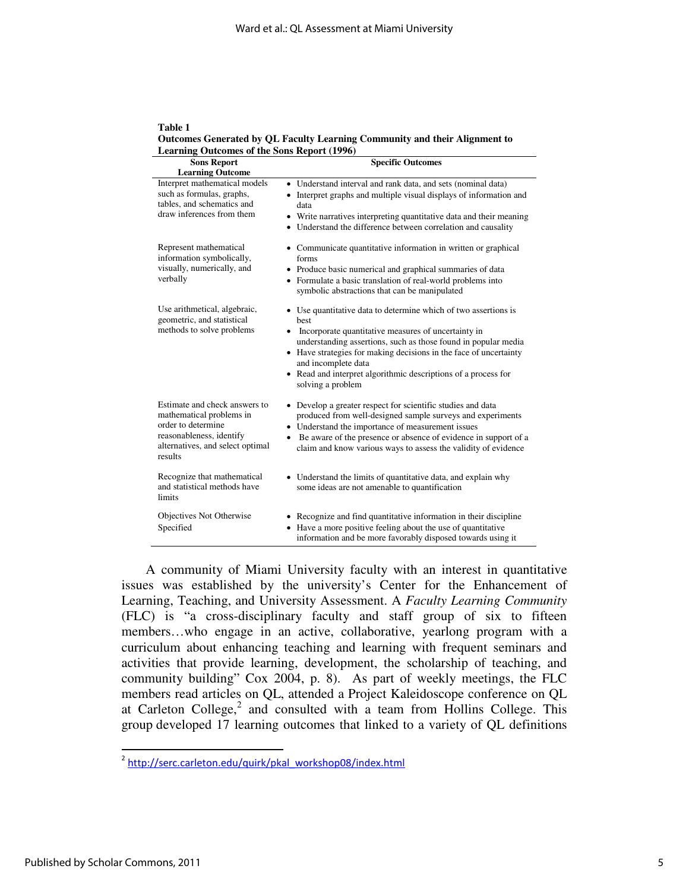**Table 1 Outcomes Generated by QL Faculty Learning Community and their Alignment to Learning Outcomes of the Sons Report (1996)** 

| <b>Sons Report</b><br><b>Learning Outcome</b>                                                                                                              | <b>Specific Outcomes</b>                                                                                                                                                                                                                                                                                                                                                                 |  |  |  |
|------------------------------------------------------------------------------------------------------------------------------------------------------------|------------------------------------------------------------------------------------------------------------------------------------------------------------------------------------------------------------------------------------------------------------------------------------------------------------------------------------------------------------------------------------------|--|--|--|
| Interpret mathematical models<br>such as formulas, graphs,<br>tables, and schematics and<br>draw inferences from them                                      | • Understand interval and rank data, and sets (nominal data)<br>• Interpret graphs and multiple visual displays of information and<br>data<br>• Write narratives interpreting quantitative data and their meaning<br>• Understand the difference between correlation and causality                                                                                                       |  |  |  |
| Represent mathematical<br>information symbolically,<br>visually, numerically, and<br>verbally                                                              | • Communicate quantitative information in written or graphical<br>forms<br>• Produce basic numerical and graphical summaries of data<br>• Formulate a basic translation of real-world problems into<br>symbolic abstractions that can be manipulated                                                                                                                                     |  |  |  |
| Use arithmetical, algebraic,<br>geometric, and statistical<br>methods to solve problems                                                                    | • Use quantitative data to determine which of two assertions is<br>best<br>Incorporate quantitative measures of uncertainty in<br>٠<br>understanding assertions, such as those found in popular media<br>• Have strategies for making decisions in the face of uncertainty<br>and incomplete data<br>• Read and interpret algorithmic descriptions of a process for<br>solving a problem |  |  |  |
| Estimate and check answers to<br>mathematical problems in<br>order to determine<br>reasonableness, identify<br>alternatives, and select optimal<br>results | • Develop a greater respect for scientific studies and data<br>produced from well-designed sample surveys and experiments<br>• Understand the importance of measurement issues<br>Be aware of the presence or absence of evidence in support of a<br>$\bullet$<br>claim and know various ways to assess the validity of evidence                                                         |  |  |  |
| Recognize that mathematical<br>and statistical methods have<br>limits                                                                                      | • Understand the limits of quantitative data, and explain why<br>some ideas are not amenable to quantification                                                                                                                                                                                                                                                                           |  |  |  |
| Objectives Not Otherwise<br>Specified                                                                                                                      | • Recognize and find quantitative information in their discipline<br>• Have a more positive feeling about the use of quantitative<br>information and be more favorably disposed towards using it                                                                                                                                                                                         |  |  |  |

A community of Miami University faculty with an interest in quantitative issues was established by the university's Center for the Enhancement of Learning, Teaching, and University Assessment. A *Faculty Learning Community* (FLC) is "a cross-disciplinary faculty and staff group of six to fifteen members…who engage in an active, collaborative, yearlong program with a curriculum about enhancing teaching and learning with frequent seminars and activities that provide learning, development, the scholarship of teaching, and community building" Cox 2004, p. 8). As part of weekly meetings, the FLC members read articles on QL, attended a Project Kaleidoscope conference on QL at Carleton College, $^2$  and consulted with a team from Hollins College. This group developed 17 learning outcomes that linked to a variety of QL definitions

 $\overline{\phantom{0}}$ 

<sup>&</sup>lt;sup>2</sup> http://serc.carleton.edu/quirk/pkal\_workshop08/index.html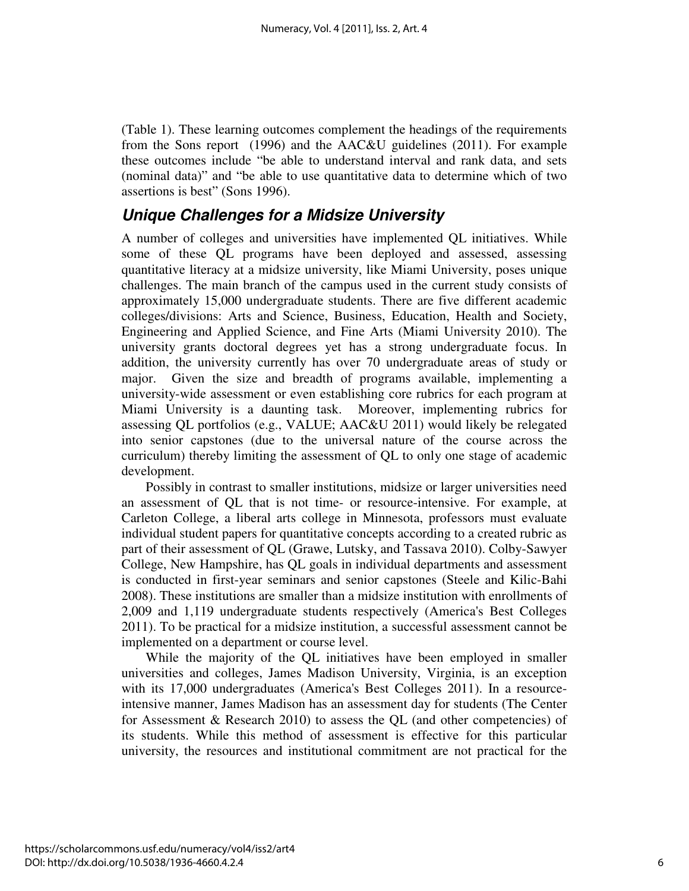(Table 1). These learning outcomes complement the headings of the requirements from the Sons report (1996) and the AAC&U guidelines (2011). For example these outcomes include "be able to understand interval and rank data, and sets (nominal data)" and "be able to use quantitative data to determine which of two assertions is best" (Sons 1996).

### **Unique Challenges for a Midsize University**

A number of colleges and universities have implemented QL initiatives. While some of these QL programs have been deployed and assessed, assessing quantitative literacy at a midsize university, like Miami University, poses unique challenges. The main branch of the campus used in the current study consists of approximately 15,000 undergraduate students. There are five different academic colleges/divisions: Arts and Science, Business, Education, Health and Society, Engineering and Applied Science, and Fine Arts (Miami University 2010). The university grants doctoral degrees yet has a strong undergraduate focus. In addition, the university currently has over 70 undergraduate areas of study or major. Given the size and breadth of programs available, implementing a university-wide assessment or even establishing core rubrics for each program at Miami University is a daunting task. Moreover, implementing rubrics for assessing QL portfolios (e.g., VALUE; AAC&U 2011) would likely be relegated into senior capstones (due to the universal nature of the course across the curriculum) thereby limiting the assessment of QL to only one stage of academic development.

Possibly in contrast to smaller institutions, midsize or larger universities need an assessment of QL that is not time- or resource-intensive. For example, at Carleton College, a liberal arts college in Minnesota, professors must evaluate individual student papers for quantitative concepts according to a created rubric as part of their assessment of QL (Grawe, Lutsky, and Tassava 2010). Colby-Sawyer College, New Hampshire, has QL goals in individual departments and assessment is conducted in first-year seminars and senior capstones (Steele and Kilic-Bahi 2008). These institutions are smaller than a midsize institution with enrollments of 2,009 and 1,119 undergraduate students respectively (America's Best Colleges 2011). To be practical for a midsize institution, a successful assessment cannot be implemented on a department or course level.

While the majority of the QL initiatives have been employed in smaller universities and colleges, James Madison University, Virginia, is an exception with its 17,000 undergraduates (America's Best Colleges 2011). In a resourceintensive manner, James Madison has an assessment day for students (The Center for Assessment  $&$  Research 2010) to assess the QL (and other competencies) of its students. While this method of assessment is effective for this particular university, the resources and institutional commitment are not practical for the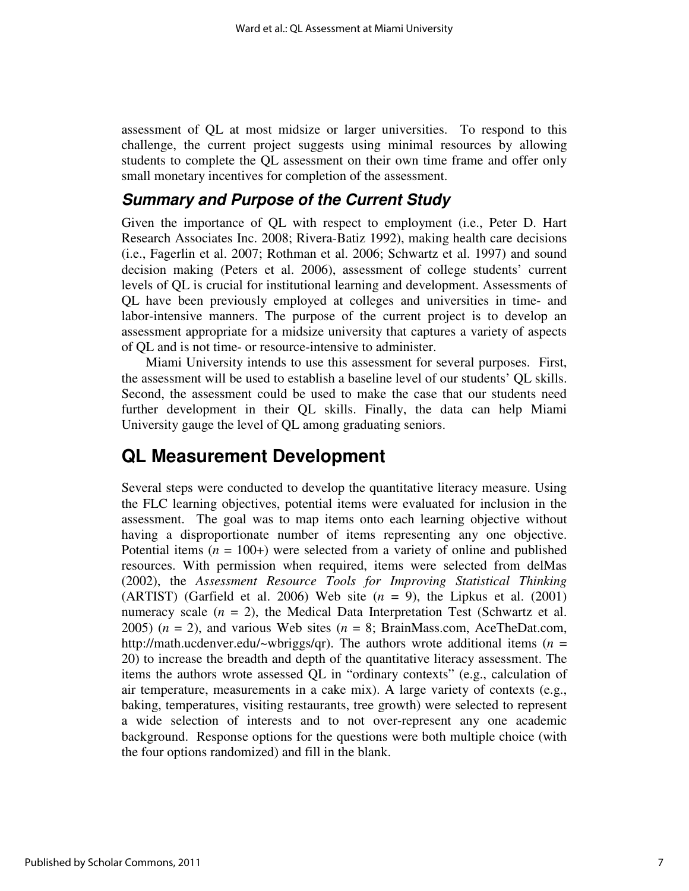assessment of QL at most midsize or larger universities. To respond to this challenge, the current project suggests using minimal resources by allowing students to complete the QL assessment on their own time frame and offer only small monetary incentives for completion of the assessment.

### **Summary and Purpose of the Current Study**

Given the importance of QL with respect to employment (i.e., Peter D. Hart Research Associates Inc. 2008; Rivera-Batiz 1992), making health care decisions (i.e., Fagerlin et al. 2007; Rothman et al. 2006; Schwartz et al. 1997) and sound decision making (Peters et al. 2006), assessment of college students' current levels of QL is crucial for institutional learning and development. Assessments of QL have been previously employed at colleges and universities in time- and labor-intensive manners. The purpose of the current project is to develop an assessment appropriate for a midsize university that captures a variety of aspects of QL and is not time- or resource-intensive to administer.

Miami University intends to use this assessment for several purposes. First, the assessment will be used to establish a baseline level of our students' QL skills. Second, the assessment could be used to make the case that our students need further development in their QL skills. Finally, the data can help Miami University gauge the level of QL among graduating seniors.

## **QL Measurement Development**

Several steps were conducted to develop the quantitative literacy measure. Using the FLC learning objectives, potential items were evaluated for inclusion in the assessment. The goal was to map items onto each learning objective without having a disproportionate number of items representing any one objective. Potential items  $(n = 100+)$  were selected from a variety of online and published resources. With permission when required, items were selected from delMas (2002), the *Assessment Resource Tools for Improving Statistical Thinking* (ARTIST) (Garfield et al. 2006) Web site  $(n = 9)$ , the Lipkus et al. (2001) numeracy scale  $(n = 2)$ , the Medical Data Interpretation Test (Schwartz et al. 2005)  $(n = 2)$ , and various Web sites  $(n = 8)$ ; BrainMass.com, AceTheDat.com, http://math.ucdenver.edu/~wbriggs/qr). The authors wrote additional items ( $n =$ 20) to increase the breadth and depth of the quantitative literacy assessment. The items the authors wrote assessed QL in "ordinary contexts" (e.g., calculation of air temperature, measurements in a cake mix). A large variety of contexts (e.g., baking, temperatures, visiting restaurants, tree growth) were selected to represent a wide selection of interests and to not over-represent any one academic background. Response options for the questions were both multiple choice (with the four options randomized) and fill in the blank.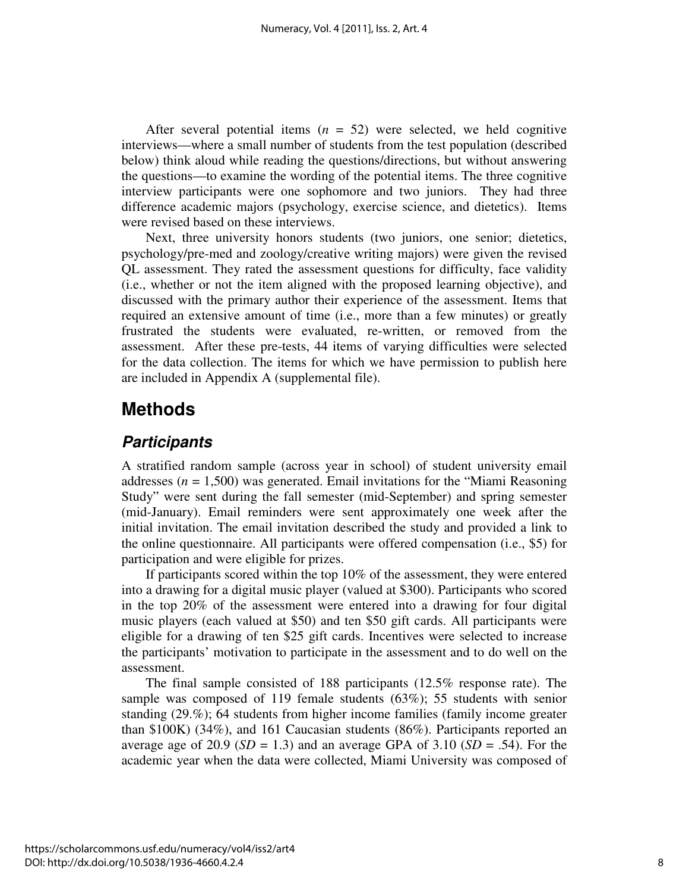After several potential items  $(n = 52)$  were selected, we held cognitive interviews—where a small number of students from the test population (described below) think aloud while reading the questions/directions, but without answering the questions—to examine the wording of the potential items. The three cognitive interview participants were one sophomore and two juniors. They had three difference academic majors (psychology, exercise science, and dietetics). Items were revised based on these interviews.

Next, three university honors students (two juniors, one senior; dietetics, psychology/pre-med and zoology/creative writing majors) were given the revised QL assessment. They rated the assessment questions for difficulty, face validity (i.e., whether or not the item aligned with the proposed learning objective), and discussed with the primary author their experience of the assessment. Items that required an extensive amount of time (i.e., more than a few minutes) or greatly frustrated the students were evaluated, re-written, or removed from the assessment. After these pre-tests, 44 items of varying difficulties were selected for the data collection. The items for which we have permission to publish here are included in Appendix A (supplemental file).

## **Methods**

### **Participants**

A stratified random sample (across year in school) of student university email addresses  $(n = 1,500)$  was generated. Email invitations for the "Miami Reasoning" Study" were sent during the fall semester (mid-September) and spring semester (mid-January). Email reminders were sent approximately one week after the initial invitation. The email invitation described the study and provided a link to the online questionnaire. All participants were offered compensation (i.e., \$5) for participation and were eligible for prizes.

If participants scored within the top 10% of the assessment, they were entered into a drawing for a digital music player (valued at \$300). Participants who scored in the top 20% of the assessment were entered into a drawing for four digital music players (each valued at \$50) and ten \$50 gift cards. All participants were eligible for a drawing of ten \$25 gift cards. Incentives were selected to increase the participants' motivation to participate in the assessment and to do well on the assessment.

The final sample consisted of 188 participants (12.5% response rate). The sample was composed of 119 female students (63%); 55 students with senior standing (29.%); 64 students from higher income families (family income greater than \$100K) (34%), and 161 Caucasian students (86%). Participants reported an average age of 20.9 ( $SD = 1.3$ ) and an average GPA of 3.10 ( $SD = .54$ ). For the academic year when the data were collected, Miami University was composed of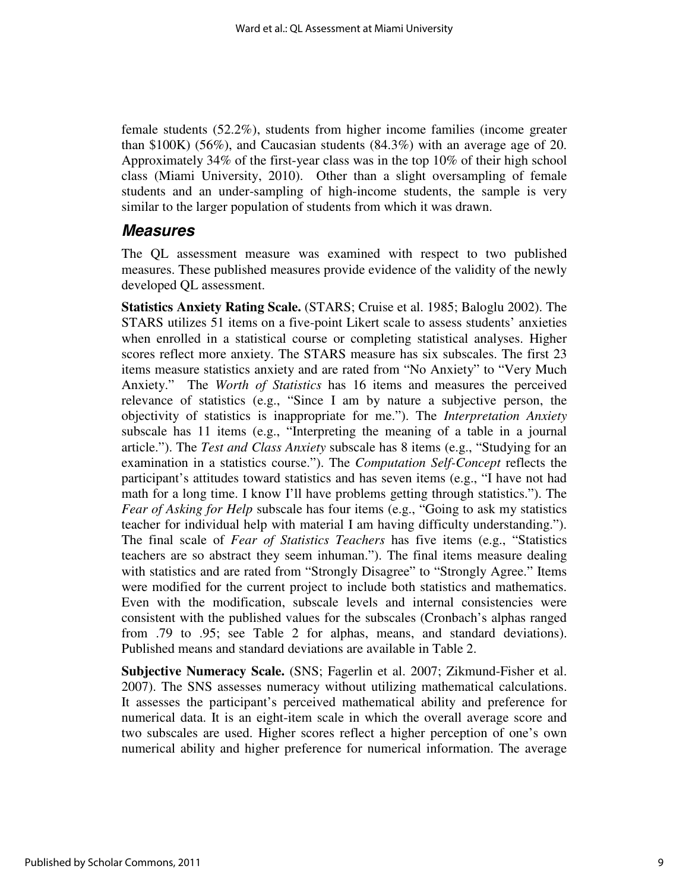female students (52.2%), students from higher income families (income greater than \$100K) (56%), and Caucasian students (84.3%) with an average age of 20. Approximately 34% of the first-year class was in the top 10% of their high school class (Miami University, 2010). Other than a slight oversampling of female students and an under-sampling of high-income students, the sample is very similar to the larger population of students from which it was drawn.

### **Measures**

The QL assessment measure was examined with respect to two published measures. These published measures provide evidence of the validity of the newly developed QL assessment.

**Statistics Anxiety Rating Scale.** (STARS; Cruise et al. 1985; Baloglu 2002). The STARS utilizes 51 items on a five-point Likert scale to assess students' anxieties when enrolled in a statistical course or completing statistical analyses. Higher scores reflect more anxiety. The STARS measure has six subscales. The first 23 items measure statistics anxiety and are rated from "No Anxiety" to "Very Much Anxiety." The *Worth of Statistics* has 16 items and measures the perceived relevance of statistics (e.g., "Since I am by nature a subjective person, the objectivity of statistics is inappropriate for me."). The *Interpretation Anxiety* subscale has 11 items (e.g., "Interpreting the meaning of a table in a journal article."). The *Test and Class Anxiety* subscale has 8 items (e.g., "Studying for an examination in a statistics course."). The *Computation Self-Concept* reflects the participant's attitudes toward statistics and has seven items (e.g., "I have not had math for a long time. I know I'll have problems getting through statistics."). The *Fear of Asking for Help* subscale has four items (e.g., "Going to ask my statistics teacher for individual help with material I am having difficulty understanding."). The final scale of *Fear of Statistics Teachers* has five items (e.g., "Statistics teachers are so abstract they seem inhuman."). The final items measure dealing with statistics and are rated from "Strongly Disagree" to "Strongly Agree." Items were modified for the current project to include both statistics and mathematics. Even with the modification, subscale levels and internal consistencies were consistent with the published values for the subscales (Cronbach's alphas ranged from .79 to .95; see Table 2 for alphas, means, and standard deviations). Published means and standard deviations are available in Table 2.

**Subjective Numeracy Scale.** (SNS; Fagerlin et al. 2007; Zikmund-Fisher et al. 2007). The SNS assesses numeracy without utilizing mathematical calculations. It assesses the participant's perceived mathematical ability and preference for numerical data. It is an eight-item scale in which the overall average score and two subscales are used. Higher scores reflect a higher perception of one's own numerical ability and higher preference for numerical information. The average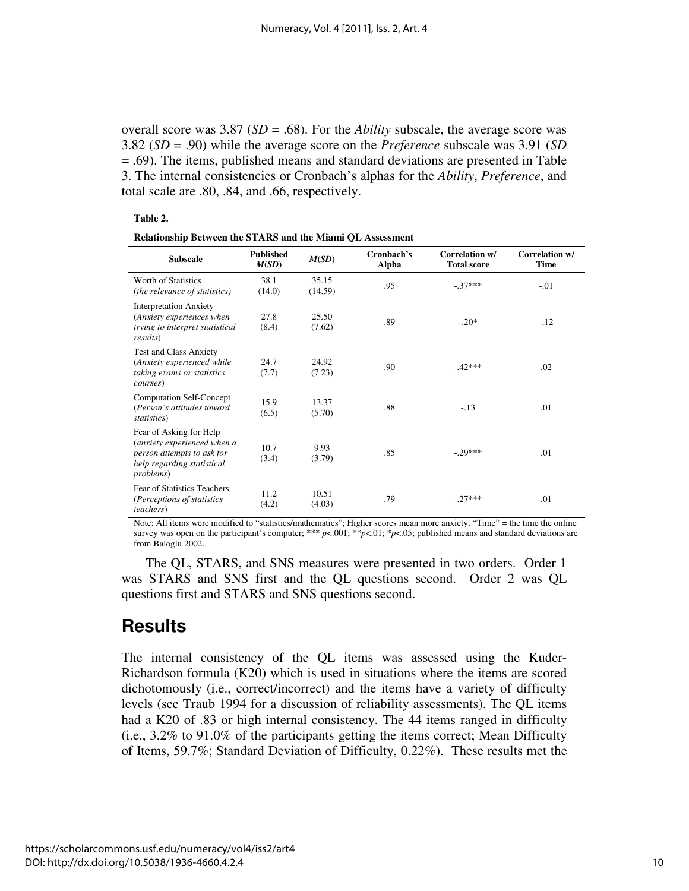overall score was 3.87 (*SD* = .68). For the *Ability* subscale, the average score was 3.82 (*SD* = .90) while the average score on the *Preference* subscale was 3.91 (*SD* = .69). The items, published means and standard deviations are presented in Table 3. The internal consistencies or Cronbach's alphas for the *Ability*, *Preference*, and total scale are .80, .84, and .66, respectively.

#### **Table 2.**

**Relationship Between the STARS and the Miami QL Assessment** 

| <b>Subscale</b>                                                                                                                         | <b>Published</b><br>M(SD) | M(SD)            | Cronbach's<br>Alpha | Correlation w/<br><b>Total score</b> | Correlation w/<br><b>Time</b> |
|-----------------------------------------------------------------------------------------------------------------------------------------|---------------------------|------------------|---------------------|--------------------------------------|-------------------------------|
| Worth of Statistics<br>(the relevance of statistics)                                                                                    | 38.1<br>(14.0)            | 35.15<br>(14.59) | .95                 | $-37***$                             | $-.01$                        |
| <b>Interpretation Anxiety</b><br>(Anxiety experiences when<br>trying to interpret statistical<br><i>results</i> )                       | 27.8<br>(8.4)             | 25.50<br>(7.62)  | .89                 | $-.20*$                              | $-.12$                        |
| <b>Test and Class Anxiety</b><br>(Anxiety experienced while<br>taking exams or statistics<br><i>courses</i> )                           | 24.7<br>(7.7)             | 24.92<br>(7.23)  | .90                 | $-42***$                             | .02                           |
| <b>Computation Self-Concept</b><br>(Person's attitudes toward<br>statistics)                                                            | 15.9<br>(6.5)             | 13.37<br>(5.70)  | .88                 | $-.13$                               | .01                           |
| Fear of Asking for Help<br>(anxiety experienced when a<br>person attempts to ask for<br>help regarding statistical<br><i>problems</i> ) | 10.7<br>(3.4)             | 9.93<br>(3.79)   | .85                 | $-.29***$                            | .01                           |
| Fear of Statistics Teachers<br>(Perceptions of statistics)<br><i>teachers</i> )                                                         | 11.2<br>(4.2)             | 10.51<br>(4.03)  | .79                 | $-.27***$                            | .01                           |

Note: All items were modified to "statistics/mathematics"; Higher scores mean more anxiety; "Time" = the time the online survey was open on the participant's computer; \*\*\*  $p<001$ ; \* $p<01$ ; \* $p<05$ ; published means and standard deviations are from Baloglu 2002.

The QL, STARS, and SNS measures were presented in two orders. Order 1 was STARS and SNS first and the QL questions second. Order 2 was QL questions first and STARS and SNS questions second.

## **Results**

The internal consistency of the QL items was assessed using the Kuder-Richardson formula (K20) which is used in situations where the items are scored dichotomously (i.e., correct/incorrect) and the items have a variety of difficulty levels (see Traub 1994 for a discussion of reliability assessments). The QL items had a K20 of .83 or high internal consistency. The 44 items ranged in difficulty (i.e., 3.2% to 91.0% of the participants getting the items correct; Mean Difficulty of Items, 59.7%; Standard Deviation of Difficulty, 0.22%). These results met the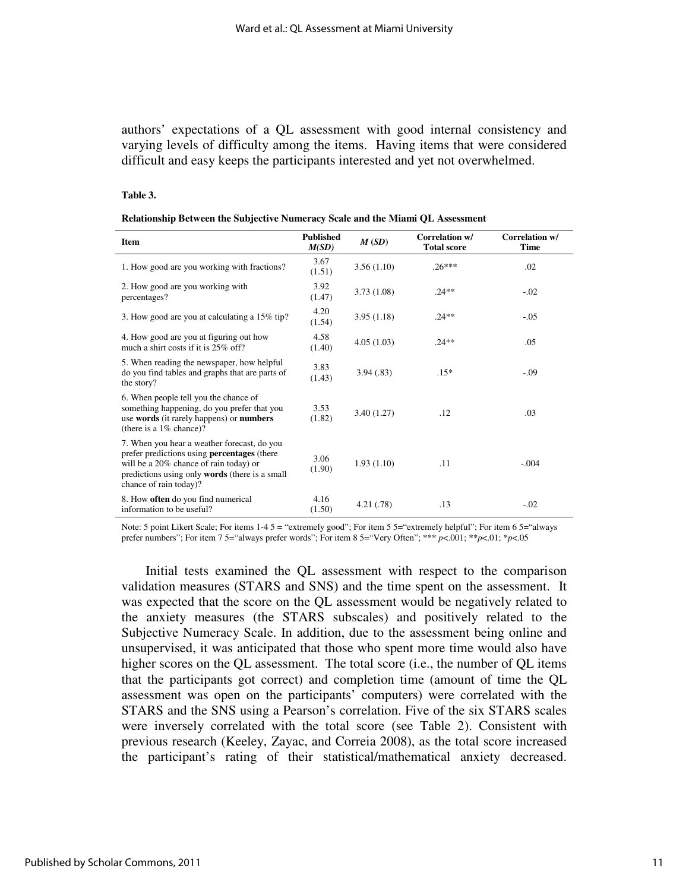authors' expectations of a QL assessment with good internal consistency and varying levels of difficulty among the items. Having items that were considered difficult and easy keeps the participants interested and yet not overwhelmed.

#### **Table 3.**

| Relationship Between the Subjective Numeracy Scale and the Miami QL Assessment |  |  |  |  |
|--------------------------------------------------------------------------------|--|--|--|--|
|--------------------------------------------------------------------------------|--|--|--|--|

| <b>Item</b>                                                                                                                                                                                                                    | <b>Published</b><br>M(SD) | M(SD)      | Correlation w/<br><b>Total score</b> | Correlation w/<br><b>Time</b> |
|--------------------------------------------------------------------------------------------------------------------------------------------------------------------------------------------------------------------------------|---------------------------|------------|--------------------------------------|-------------------------------|
| 1. How good are you working with fractions?                                                                                                                                                                                    | 3.67<br>(1.51)            | 3.56(1.10) | $.26***$                             | .02                           |
| 2. How good are you working with<br>percentages?                                                                                                                                                                               | 3.92<br>(1.47)            | 3.73(1.08) | $.24**$                              | $-.02$                        |
| 3. How good are you at calculating a 15% tip?                                                                                                                                                                                  | 4.20<br>(1.54)            | 3.95(1.18) | $.24**$                              | $-.05$                        |
| 4. How good are you at figuring out how<br>much a shirt costs if it is 25% off?                                                                                                                                                | 4.58<br>(1.40)            | 4.05(1.03) | $.24**$                              | .05                           |
| 5. When reading the newspaper, how helpful<br>do you find tables and graphs that are parts of<br>the story?                                                                                                                    | 3.83<br>(1.43)            | 3.94(.83)  | $.15*$                               | $-.09$                        |
| 6. When people tell you the chance of<br>something happening, do you prefer that you<br>use words (it rarely happens) or numbers<br>(there is a $1\%$ chance)?                                                                 | 3.53<br>(1.82)            | 3.40(1.27) | .12                                  | .03                           |
| 7. When you hear a weather forecast, do you<br>prefer predictions using <b>percentages</b> (there<br>will be a 20% chance of rain today) or<br>predictions using only <b>words</b> (there is a small<br>chance of rain today)? | 3.06<br>(1.90)            | 1.93(1.10) | .11                                  | $-.004$                       |
| 8. How <b>often</b> do you find numerical<br>information to be useful?                                                                                                                                                         | 4.16<br>(1.50)            | 4.21(0.78) | .13                                  | $-.02$                        |

Note: 5 point Likert Scale; For items 1-4 5 = "extremely good"; For item 5 5="extremely helpful"; For item 6 5="always prefer numbers"; For item 7 5="always prefer words"; For item 8 5="Very Often"; \*\*\* *p*<.001; \*\**p*<.01; \**p*<.05

Initial tests examined the QL assessment with respect to the comparison validation measures (STARS and SNS) and the time spent on the assessment. It was expected that the score on the QL assessment would be negatively related to the anxiety measures (the STARS subscales) and positively related to the Subjective Numeracy Scale. In addition, due to the assessment being online and unsupervised, it was anticipated that those who spent more time would also have higher scores on the QL assessment. The total score (i.e., the number of QL items that the participants got correct) and completion time (amount of time the QL assessment was open on the participants' computers) were correlated with the STARS and the SNS using a Pearson's correlation. Five of the six STARS scales were inversely correlated with the total score (see Table 2). Consistent with previous research (Keeley, Zayac, and Correia 2008), as the total score increased the participant's rating of their statistical/mathematical anxiety decreased.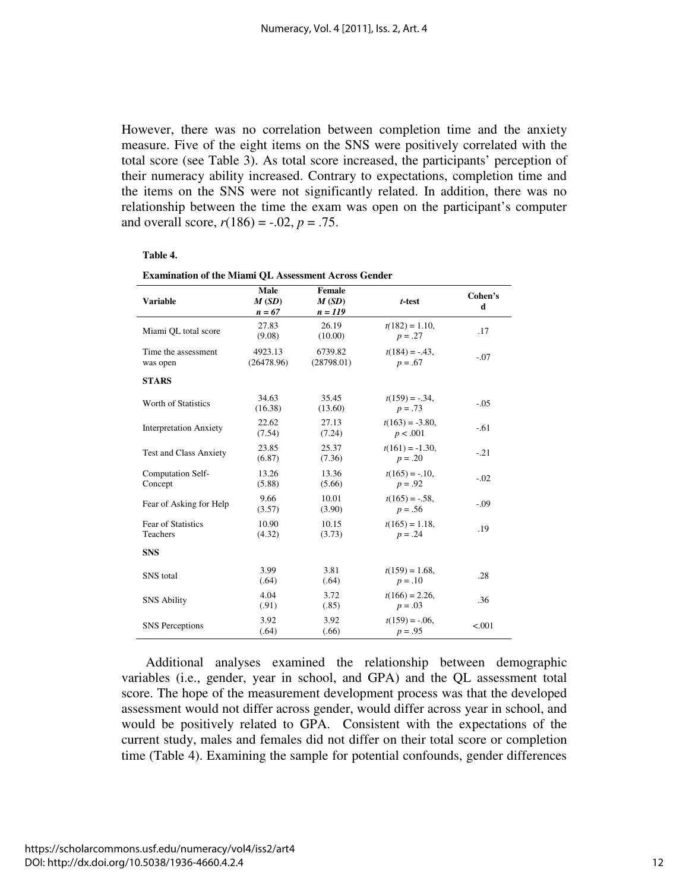However, there was no correlation between completion time and the anxiety measure. Five of the eight items on the SNS were positively correlated with the total score (see Table 3). As total score increased, the participants' perception of their numeracy ability increased. Contrary to expectations, completion time and the items on the SNS were not significantly related. In addition, there was no relationship between the time the exam was open on the participant's computer and overall score,  $r(186) = -.02$ ,  $p = .75$ .

#### **Table 4.**

| <b>Variable</b>                       | Male<br>M(SD)<br>$n = 67$ | Female<br>M(SD)<br>$n = 119$ | $t$ -test                       | Cohen's<br>d |
|---------------------------------------|---------------------------|------------------------------|---------------------------------|--------------|
| Miami QL total score                  | 27.83<br>(9.08)           | 26.19<br>(10.00)             | $t(182) = 1.10$ ,<br>$p = .27$  | .17          |
| Time the assessment<br>was open       | 4923.13<br>(26478.96)     | 6739.82<br>(28798.01)        | $t(184) = -.43$ ,<br>$p = .67$  | $-.07$       |
| <b>STARS</b>                          |                           |                              |                                 |              |
| Worth of Statistics                   | 34.63<br>(16.38)          | 35.45<br>(13.60)             | $t(159) = -.34$ ,<br>$p = .73$  | $-.05$       |
| <b>Interpretation Anxiety</b>         | 22.62<br>(7.54)           | 27.13<br>(7.24)              | $t(163) = -3.80$ ,<br>p < .001  | $-.61$       |
| <b>Test and Class Anxiety</b>         | 23.85<br>(6.87)           | 25.37<br>(7.36)              | $t(161) = -1.30$ ,<br>$p = .20$ | $-.21$       |
| Computation Self-<br>Concept          | 13.26<br>(5.88)           | 13.36<br>(5.66)              | $t(165) = -.10$ ,<br>$p = .92$  | $-.02$       |
| Fear of Asking for Help               | 9.66<br>(3.57)            | 10.01<br>(3.90)              | $t(165) = -.58$ ,<br>$p = .56$  | $-.09$       |
| Fear of Statistics<br><b>Teachers</b> | 10.90<br>(4.32)           | 10.15<br>(3.73)              | $t(165) = 1.18$ ,<br>$p = .24$  | .19          |
| <b>SNS</b>                            |                           |                              |                                 |              |
| <b>SNS</b> total                      | 3.99<br>(.64)             | 3.81<br>(.64)                | $t(159) = 1.68$ ,<br>$p = .10$  | .28          |
| <b>SNS Ability</b>                    | 4.04<br>(.91)             | 3.72<br>(.85)                | $t(166) = 2.26$ ,<br>$p = .03$  | .36          |
| <b>SNS</b> Perceptions                | 3.92<br>(.64)             | 3.92<br>(.66)                | $t(159) = -.06$ ,<br>$p = .95$  | < .001       |

| <b>Examination of the Miami QL Assessment Across Gender</b> |  |
|-------------------------------------------------------------|--|
|-------------------------------------------------------------|--|

Additional analyses examined the relationship between demographic variables (i.e., gender, year in school, and GPA) and the QL assessment total score. The hope of the measurement development process was that the developed assessment would not differ across gender, would differ across year in school, and would be positively related to GPA. Consistent with the expectations of the current study, males and females did not differ on their total score or completion time (Table 4). Examining the sample for potential confounds, gender differences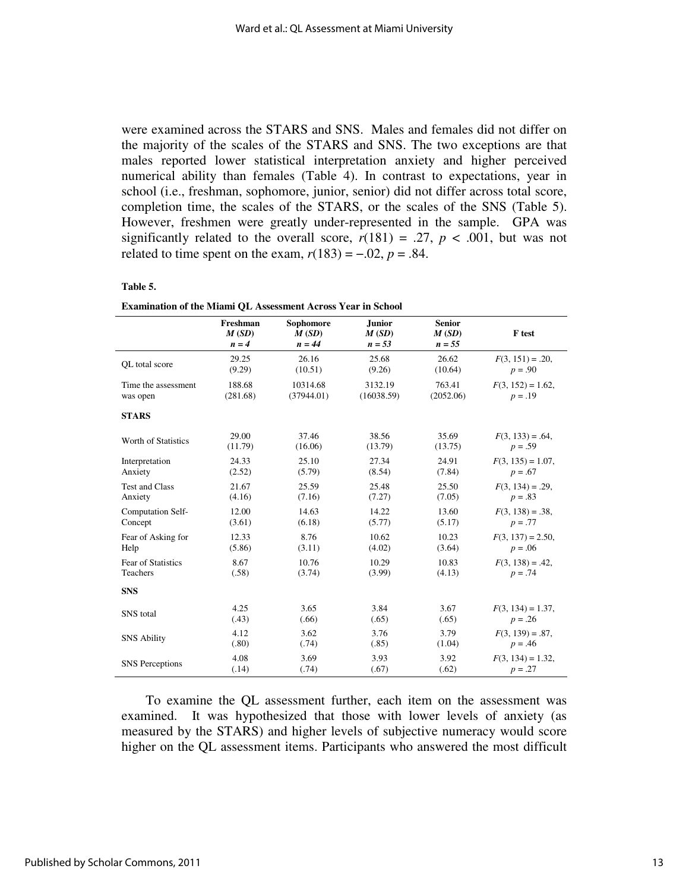were examined across the STARS and SNS. Males and females did not differ on the majority of the scales of the STARS and SNS. The two exceptions are that males reported lower statistical interpretation anxiety and higher perceived numerical ability than females (Table 4). In contrast to expectations, year in school (i.e., freshman, sophomore, junior, senior) did not differ across total score, completion time, the scales of the STARS, or the scales of the SNS (Table 5). However, freshmen were greatly under-represented in the sample. GPA was significantly related to the overall score,  $r(181) = .27$ ,  $p < .001$ , but was not related to time spent on the exam,  $r(183) = -.02$ ,  $p = .84$ .

#### **Table 5.**

|                           | Freshman<br>M(SD)<br>$n = 4$ | Sophomore<br>M(SD)<br>$n = 44$ | <b>Junior</b><br>M(SD)<br>$n = 53$ | <b>Senior</b><br>M(SD)<br>$n = 55$ | F test               |
|---------------------------|------------------------------|--------------------------------|------------------------------------|------------------------------------|----------------------|
| OL total score            | 29.25                        | 26.16                          | 25.68                              | 26.62                              | $F(3, 151) = .20$    |
|                           | (9.29)                       | (10.51)                        | (9.26)                             | (10.64)                            | $p = .90$            |
| Time the assessment       | 188.68                       | 10314.68                       | 3132.19                            | 763.41                             | $F(3, 152) = 1.62$ , |
| was open                  | (281.68)                     | (37944.01)                     | (16038.59)                         | (2052.06)                          | $p = .19$            |
| <b>STARS</b>              |                              |                                |                                    |                                    |                      |
| Worth of Statistics       | 29.00                        | 37.46                          | 38.56                              | 35.69                              | $F(3, 133) = .64$ ,  |
|                           | (11.79)                      | (16.06)                        | (13.79)                            | (13.75)                            | $p = .59$            |
| Interpretation            | 24.33                        | 25.10                          | 27.34                              | 24.91                              | $F(3, 135) = 1.07$ , |
| Anxiety                   | (2.52)                       | (5.79)                         | (8.54)                             | (7.84)                             | $p = .67$            |
| <b>Test and Class</b>     | 21.67                        | 25.59                          | 25.48                              | 25.50                              | $F(3, 134) = .29$ ,  |
| Anxiety                   | (4.16)                       | (7.16)                         | (7.27)                             | (7.05)                             | $p = .83$            |
| Computation Self-         | 12.00                        | 14.63                          | 14.22                              | 13.60                              | $F(3, 138) = .38$    |
| Concept                   | (3.61)                       | (6.18)                         | (5.77)                             | (5.17)                             | $p = .77$            |
| Fear of Asking for        | 12.33                        | 8.76                           | 10.62                              | 10.23                              | $F(3, 137) = 2.50$ , |
| Help                      | (5.86)                       | (3.11)                         | (4.02)                             | (3.64)                             | $p = .06$            |
| <b>Fear of Statistics</b> | 8.67                         | 10.76                          | 10.29                              | 10.83                              | $F(3, 138) = .42$    |
| Teachers                  | (.58)                        | (3.74)                         | (3.99)                             | (4.13)                             | $p = .74$            |
| <b>SNS</b>                |                              |                                |                                    |                                    |                      |
| SNS total                 | 4.25                         | 3.65                           | 3.84                               | 3.67                               | $F(3, 134) = 1.37$ , |
|                           | (.43)                        | (.66)                          | (.65)                              | (.65)                              | $p = .26$            |
| <b>SNS Ability</b>        | 4.12                         | 3.62                           | 3.76                               | 3.79                               | $F(3, 139) = .87$    |
|                           | (.80)                        | (.74)                          | (.85)                              | (1.04)                             | $p = .46$            |
| <b>SNS</b> Perceptions    | 4.08                         | 3.69                           | 3.93                               | 3.92                               | $F(3, 134) = 1.32$ , |
|                           | (.14)                        | (.74)                          | (.67)                              | (.62)                              | $p = .27$            |

To examine the QL assessment further, each item on the assessment was examined. It was hypothesized that those with lower levels of anxiety (as measured by the STARS) and higher levels of subjective numeracy would score higher on the QL assessment items. Participants who answered the most difficult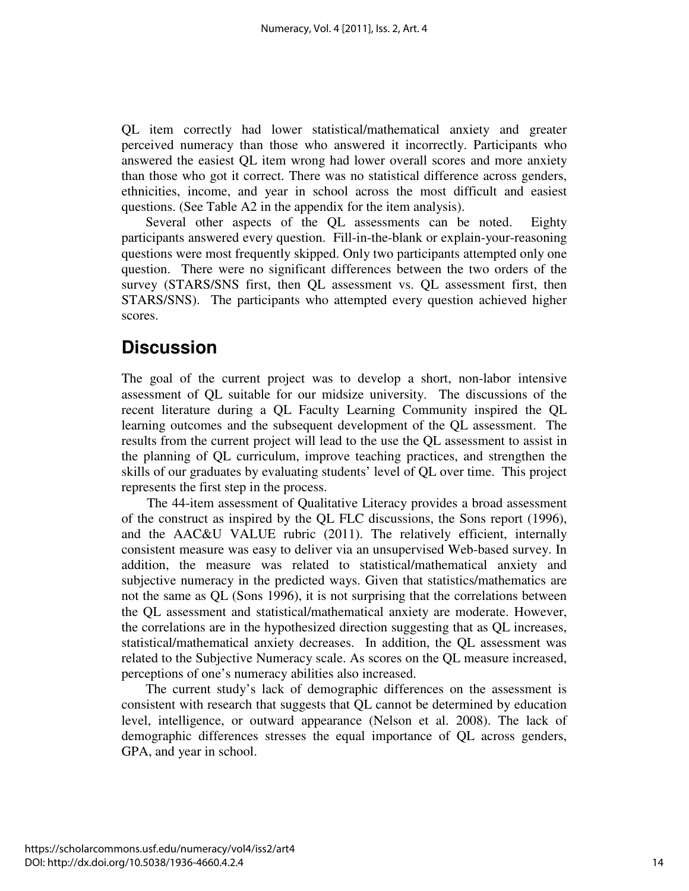QL item correctly had lower statistical/mathematical anxiety and greater perceived numeracy than those who answered it incorrectly. Participants who answered the easiest QL item wrong had lower overall scores and more anxiety than those who got it correct. There was no statistical difference across genders, ethnicities, income, and year in school across the most difficult and easiest questions. (See Table A2 in the appendix for the item analysis).

Several other aspects of the QL assessments can be noted. Eighty participants answered every question. Fill-in-the-blank or explain-your-reasoning questions were most frequently skipped. Only two participants attempted only one question. There were no significant differences between the two orders of the survey (STARS/SNS first, then QL assessment vs. QL assessment first, then STARS/SNS). The participants who attempted every question achieved higher scores.

## **Discussion**

The goal of the current project was to develop a short, non-labor intensive assessment of QL suitable for our midsize university. The discussions of the recent literature during a QL Faculty Learning Community inspired the QL learning outcomes and the subsequent development of the QL assessment. The results from the current project will lead to the use the QL assessment to assist in the planning of QL curriculum, improve teaching practices, and strengthen the skills of our graduates by evaluating students' level of QL over time. This project represents the first step in the process.

 The 44-item assessment of Qualitative Literacy provides a broad assessment of the construct as inspired by the QL FLC discussions, the Sons report (1996), and the AAC&U VALUE rubric (2011). The relatively efficient, internally consistent measure was easy to deliver via an unsupervised Web-based survey. In addition, the measure was related to statistical/mathematical anxiety and subjective numeracy in the predicted ways. Given that statistics/mathematics are not the same as QL (Sons 1996), it is not surprising that the correlations between the QL assessment and statistical/mathematical anxiety are moderate. However, the correlations are in the hypothesized direction suggesting that as QL increases, statistical/mathematical anxiety decreases. In addition, the QL assessment was related to the Subjective Numeracy scale. As scores on the QL measure increased, perceptions of one's numeracy abilities also increased.

The current study's lack of demographic differences on the assessment is consistent with research that suggests that QL cannot be determined by education level, intelligence, or outward appearance (Nelson et al. 2008). The lack of demographic differences stresses the equal importance of QL across genders, GPA, and year in school.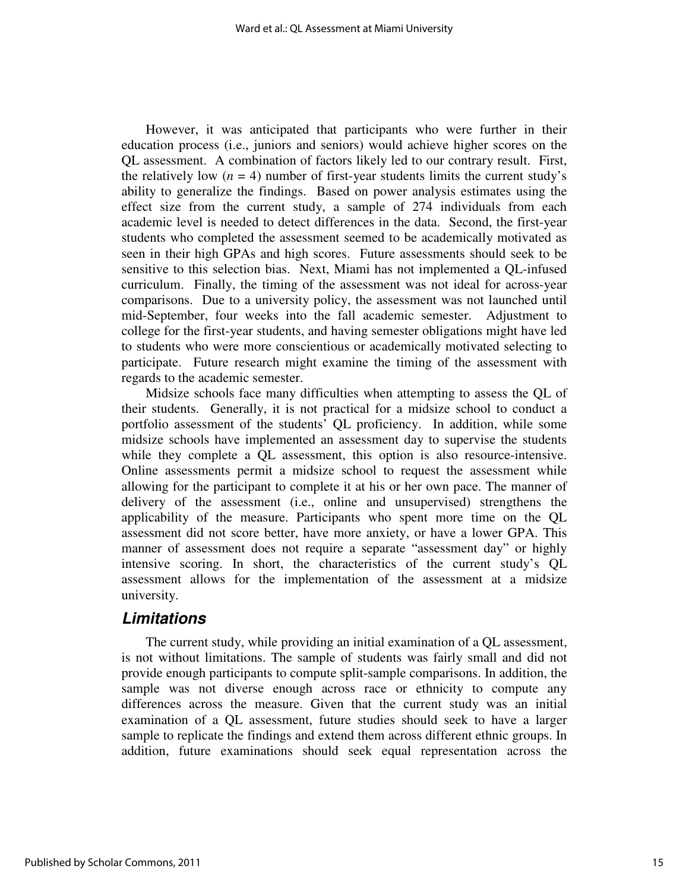However, it was anticipated that participants who were further in their education process (i.e., juniors and seniors) would achieve higher scores on the QL assessment. A combination of factors likely led to our contrary result. First, the relatively low  $(n = 4)$  number of first-year students limits the current study's ability to generalize the findings. Based on power analysis estimates using the effect size from the current study, a sample of 274 individuals from each academic level is needed to detect differences in the data. Second, the first-year students who completed the assessment seemed to be academically motivated as seen in their high GPAs and high scores. Future assessments should seek to be sensitive to this selection bias. Next, Miami has not implemented a QL-infused curriculum. Finally, the timing of the assessment was not ideal for across-year comparisons. Due to a university policy, the assessment was not launched until mid-September, four weeks into the fall academic semester. Adjustment to college for the first-year students, and having semester obligations might have led to students who were more conscientious or academically motivated selecting to participate. Future research might examine the timing of the assessment with regards to the academic semester.

Midsize schools face many difficulties when attempting to assess the QL of their students. Generally, it is not practical for a midsize school to conduct a portfolio assessment of the students' QL proficiency. In addition, while some midsize schools have implemented an assessment day to supervise the students while they complete a QL assessment, this option is also resource-intensive. Online assessments permit a midsize school to request the assessment while allowing for the participant to complete it at his or her own pace. The manner of delivery of the assessment (i.e., online and unsupervised) strengthens the applicability of the measure. Participants who spent more time on the QL assessment did not score better, have more anxiety, or have a lower GPA. This manner of assessment does not require a separate "assessment day" or highly intensive scoring. In short, the characteristics of the current study's QL assessment allows for the implementation of the assessment at a midsize university.

### **Limitations**

The current study, while providing an initial examination of a QL assessment, is not without limitations. The sample of students was fairly small and did not provide enough participants to compute split-sample comparisons. In addition, the sample was not diverse enough across race or ethnicity to compute any differences across the measure. Given that the current study was an initial examination of a QL assessment, future studies should seek to have a larger sample to replicate the findings and extend them across different ethnic groups. In addition, future examinations should seek equal representation across the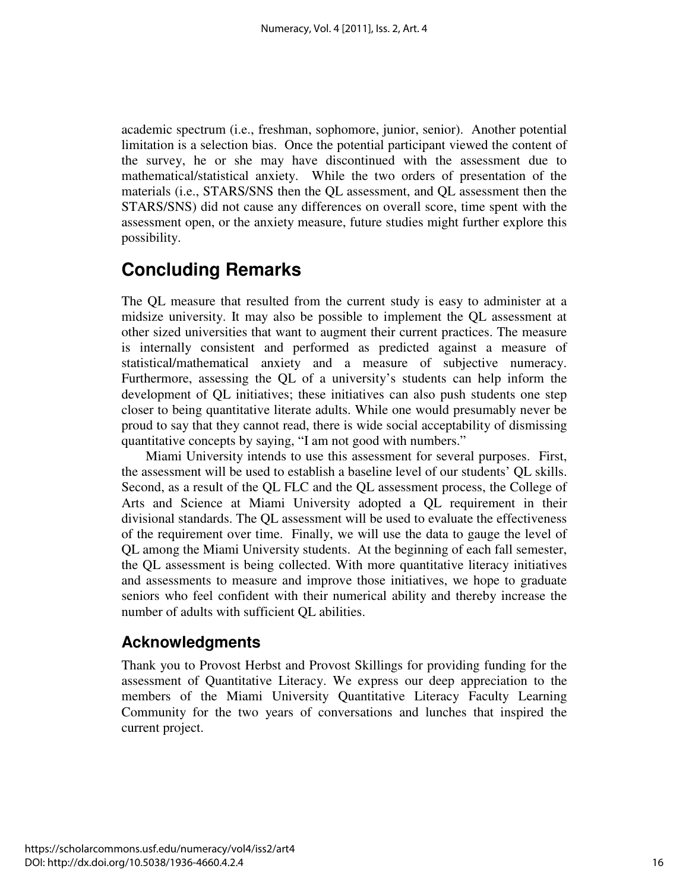academic spectrum (i.e., freshman, sophomore, junior, senior). Another potential limitation is a selection bias. Once the potential participant viewed the content of the survey, he or she may have discontinued with the assessment due to mathematical/statistical anxiety. While the two orders of presentation of the materials (i.e., STARS/SNS then the QL assessment, and QL assessment then the STARS/SNS) did not cause any differences on overall score, time spent with the assessment open, or the anxiety measure, future studies might further explore this possibility.

## **Concluding Remarks**

The QL measure that resulted from the current study is easy to administer at a midsize university. It may also be possible to implement the QL assessment at other sized universities that want to augment their current practices. The measure is internally consistent and performed as predicted against a measure of statistical/mathematical anxiety and a measure of subjective numeracy. Furthermore, assessing the QL of a university's students can help inform the development of QL initiatives; these initiatives can also push students one step closer to being quantitative literate adults. While one would presumably never be proud to say that they cannot read, there is wide social acceptability of dismissing quantitative concepts by saying, "I am not good with numbers."

Miami University intends to use this assessment for several purposes. First, the assessment will be used to establish a baseline level of our students' QL skills. Second, as a result of the QL FLC and the QL assessment process, the College of Arts and Science at Miami University adopted a QL requirement in their divisional standards. The QL assessment will be used to evaluate the effectiveness of the requirement over time. Finally, we will use the data to gauge the level of QL among the Miami University students. At the beginning of each fall semester, the QL assessment is being collected. With more quantitative literacy initiatives and assessments to measure and improve those initiatives, we hope to graduate seniors who feel confident with their numerical ability and thereby increase the number of adults with sufficient QL abilities.

## **Acknowledgments**

Thank you to Provost Herbst and Provost Skillings for providing funding for the assessment of Quantitative Literacy. We express our deep appreciation to the members of the Miami University Quantitative Literacy Faculty Learning Community for the two years of conversations and lunches that inspired the current project.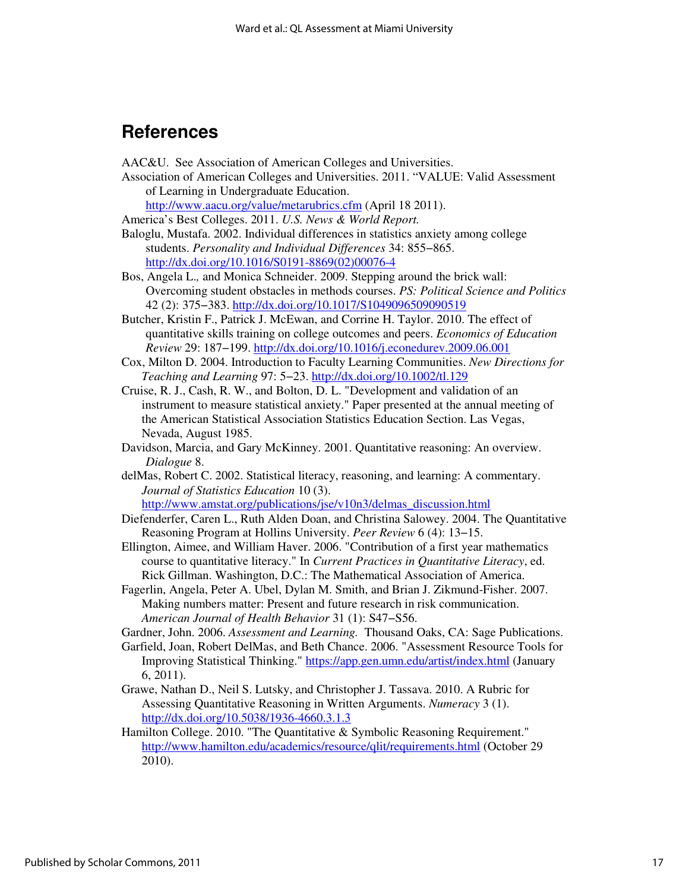## **References**

AAC&U. See Association of American Colleges and Universities.

Association of American Colleges and Universities. 2011. "VALUE: Valid Assessment of Learning in Undergraduate Education.

http://www.aacu.org/value/metarubrics.cfm (April 18 2011).

America's Best Colleges. 2011. *U.S. News & World Report.* 

Baloglu, Mustafa. 2002. Individual differences in statistics anxiety among college students. *Personality and Individual Differences* 34: 855−865. [http://dx.doi.org/10.1016/S0191-8869\(02\)00076-4](http://dx.doi.org/10.1016/S0191-8869(02)00076-4) 

Bos, Angela L.*,* and Monica Schneider. 2009. Stepping around the brick wall: Overcoming student obstacles in methods courses. *PS: Political Science and Politics* 42 (2): 375−383. http://dx.doi.org/10.1017/S1049096509090519

Butcher, Kristin F., Patrick J. McEwan, and Corrine H. Taylor. 2010. The effect of quantitative skills training on college outcomes and peers. *Economics of Education Review* 29: 187−199. http://dx.doi.org/10.1016/j.econedurev.2009.06.001

- Cox, Milton D. 2004. Introduction to Faculty Learning Communities. *New Directions for Teaching and Learning* 97: 5−23. http://dx.doi.org/10.1002/tl.129
- Cruise, R. J., Cash, R. W., and Bolton, D. L. "Development and validation of an instrument to measure statistical anxiety." Paper presented at the annual meeting of the American Statistical Association Statistics Education Section. Las Vegas, Nevada, August 1985.
- Davidson, Marcia, and Gary McKinney. 2001. Quantitative reasoning: An overview. *Dialogue* 8.
- delMas, Robert C. 2002. Statistical literacy, reasoning, and learning: A commentary. *Journal of Statistics Education* 10 (3). http://www.amstat.org/publications/jse/v10n3/delmas\_discussion.html
- Diefenderfer, Caren L., Ruth Alden Doan, and Christina Salowey. 2004. The Quantitative Reasoning Program at Hollins University. *Peer Review* 6 (4): 13−15.
- Ellington, Aimee, and William Haver. 2006. "Contribution of a first year mathematics course to quantitative literacy." In *Current Practices in Quantitative Literacy*, ed. Rick Gillman. Washington, D.C.: The Mathematical Association of America.
- Fagerlin, Angela, Peter A. Ubel, Dylan M. Smith, and Brian J. Zikmund-Fisher. 2007. Making numbers matter: Present and future research in risk communication. *American Journal of Health Behavior* 31 (1): S47−S56.
- Gardner, John. 2006. *Assessment and Learning.* Thousand Oaks, CA: Sage Publications.
- Garfield, Joan, Robert DelMas, and Beth Chance. 2006. "Assessment Resource Tools for Improving Statistical Thinking." https://app.gen.umn.edu/artist/index.html (January 6, 2011).
- Grawe, Nathan D., Neil S. Lutsky, and Christopher J. Tassava. 2010. A Rubric for Assessing Quantitative Reasoning in Written Arguments. *Numeracy* 3 (1). http://dx.doi.org/10.5038/1936-4660.3.1.3
- Hamilton College. 2010. "The Quantitative & Symbolic Reasoning Requirement." http://www.hamilton.edu/academics/resource/qlit/requirements.html (October 29 2010).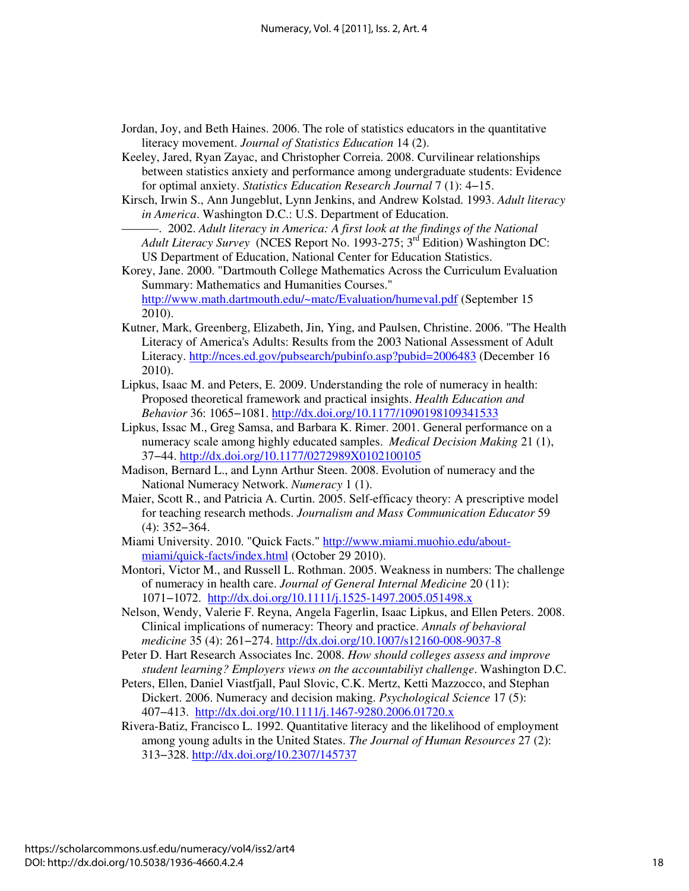- Jordan, Joy, and Beth Haines. 2006. The role of statistics educators in the quantitative literacy movement. *Journal of Statistics Education* 14 (2).
- Keeley, Jared, Ryan Zayac, and Christopher Correia. 2008. Curvilinear relationships between statistics anxiety and performance among undergraduate students: Evidence for optimal anxiety. *Statistics Education Research Journal* 7 (1): 4−15.
- Kirsch, Irwin S., Ann Jungeblut, Lynn Jenkins, and Andrew Kolstad. 1993. *Adult literacy in America*. Washington D.C.: U.S. Department of Education.

———. 2002. *Adult literacy in America: A first look at the findings of the National Adult Literacy Survey* (NCES Report No. 1993-275; 3rd Edition) Washington DC: US Department of Education, National Center for Education Statistics.

Korey, Jane. 2000. "Dartmouth College Mathematics Across the Curriculum Evaluation Summary: Mathematics and Humanities Courses." http://www.math.dartmouth.edu/~matc/Evaluation/humeval.pdf (September 15 2010).

- Kutner, Mark, Greenberg, Elizabeth, Jin, Ying, and Paulsen, Christine. 2006. "The Health Literacy of America's Adults: Results from the 2003 National Assessment of Adult Literacy. http://nces.ed.gov/pubsearch/pubinfo.asp?pubid=2006483 (December 16 2010).
- Lipkus, Isaac M. and Peters, E. 2009. Understanding the role of numeracy in health: Proposed theoretical framework and practical insights. *Health Education and Behavior* 36: 1065−1081. http://dx.doi.org/10.1177/1090198109341533
- Lipkus, Issac M., Greg Samsa, and Barbara K. Rimer. 2001. General performance on a numeracy scale among highly educated samples. *Medical Decision Making* 21 (1), 37−44. http://dx.doi.org/10.1177/0272989X0102100105
- Madison, Bernard L., and Lynn Arthur Steen. 2008. Evolution of numeracy and the National Numeracy Network. *Numeracy* 1 (1).
- Maier, Scott R., and Patricia A. Curtin. 2005. Self-efficacy theory: A prescriptive model for teaching research methods. *Journalism and Mass Communication Educator* 59 (4): 352−364.
- Miami University. 2010. "Quick Facts." http://www.miami.muohio.edu/aboutmiami/quick-facts/index.html (October 29 2010).
- Montori, Victor M., and Russell L. Rothman. 2005. Weakness in numbers: The challenge of numeracy in health care. *Journal of General Internal Medicine* 20 (11): 1071−1072. http://dx.doi.org/10.1111/j.1525-1497.2005.051498.x
- Nelson, Wendy, Valerie F. Reyna, Angela Fagerlin, Isaac Lipkus, and Ellen Peters. 2008. Clinical implications of numeracy: Theory and practice. *Annals of behavioral medicine* 35 (4): 261−274. http://dx.doi.org/10.1007/s12160-008-9037-8
- Peter D. Hart Research Associates Inc. 2008. *How should colleges assess and improve student learning? Employers views on the accountabiliyt challenge*. Washington D.C.
- Peters, Ellen, Daniel Viastfjall, Paul Slovic, C.K. Mertz, Ketti Mazzocco, and Stephan Dickert. 2006. Numeracy and decision making. *Psychological Science* 17 (5): 407−413. http://dx.doi.org/10.1111/j.1467-9280.2006.01720.x
- Rivera-Batiz, Francisco L. 1992. Quantitative literacy and the likelihood of employment among young adults in the United States. *The Journal of Human Resources* 27 (2): 313−328. http://dx.doi.org/10.2307/145737